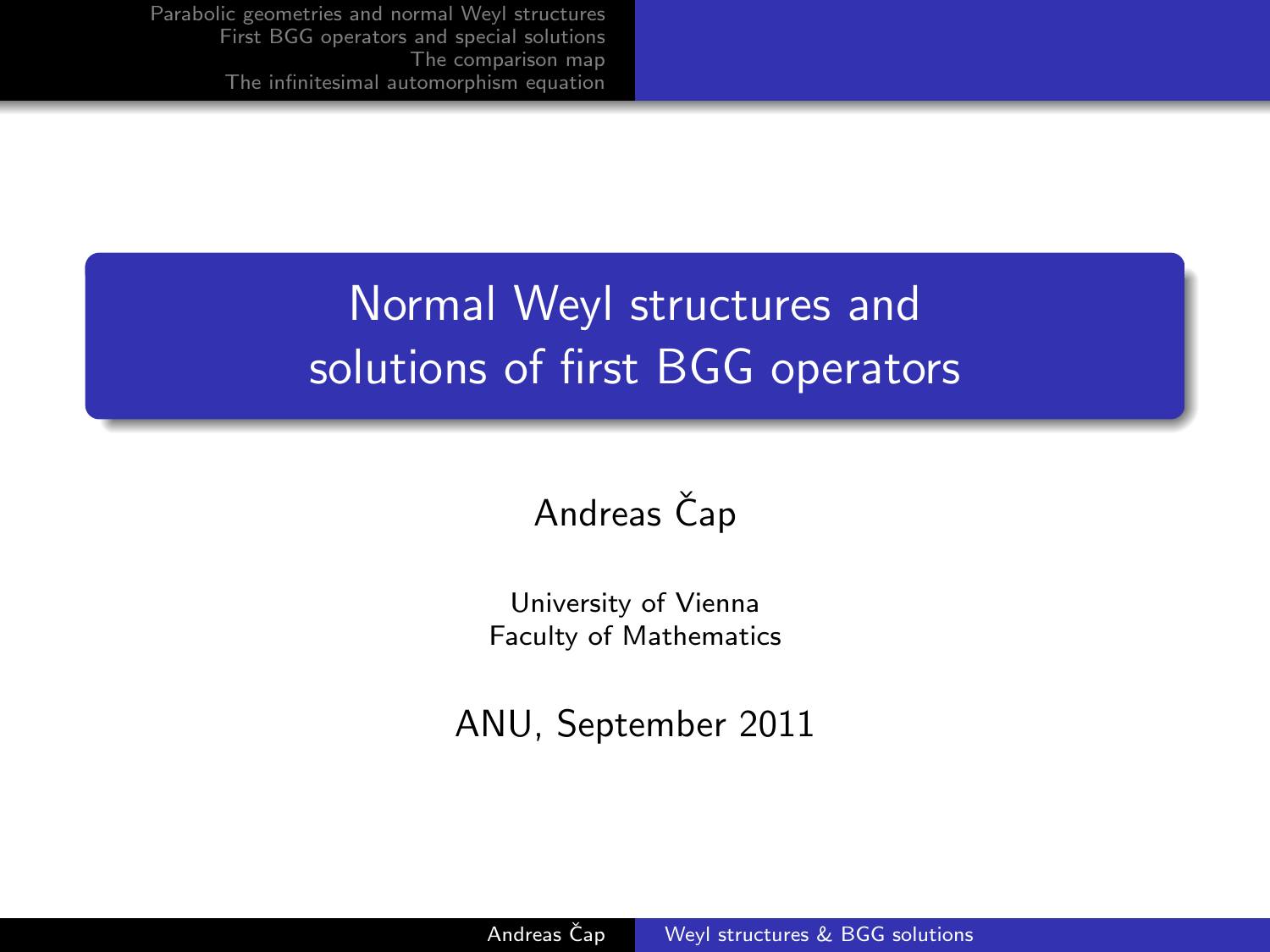# Normal Weyl structures and solutions of first BGG operators

## Andreas Čap

University of Vienna Faculty of Mathematics

<span id="page-0-0"></span>ANU, September 2011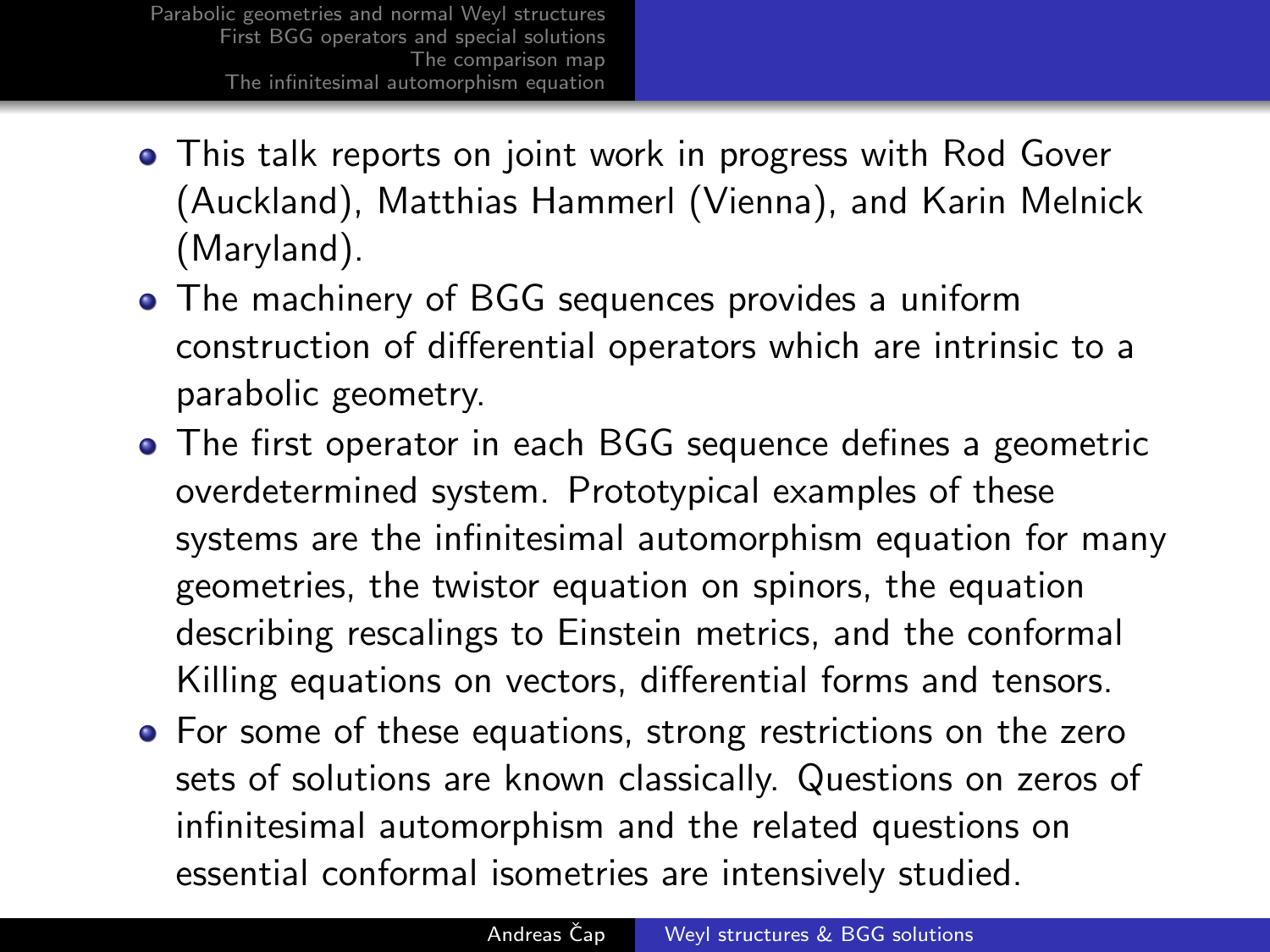- This talk reports on joint work in progress with Rod Gover (Auckland), Matthias Hammerl (Vienna), and Karin Melnick (Maryland).
- The machinery of BGG sequences provides a uniform construction of differential operators which are intrinsic to a parabolic geometry.
- The first operator in each BGG sequence defines a geometric overdetermined system. Prototypical examples of these systems are the infinitesimal automorphism equation for many geometries, the twistor equation on spinors, the equation describing rescalings to Einstein metrics, and the conformal Killing equations on vectors, differential forms and tensors.
- For some of these equations, strong restrictions on the zero sets of solutions are known classically. Questions on zeros of infinitesimal automorphism and the related questions on essential conformal isometries are intensively studied.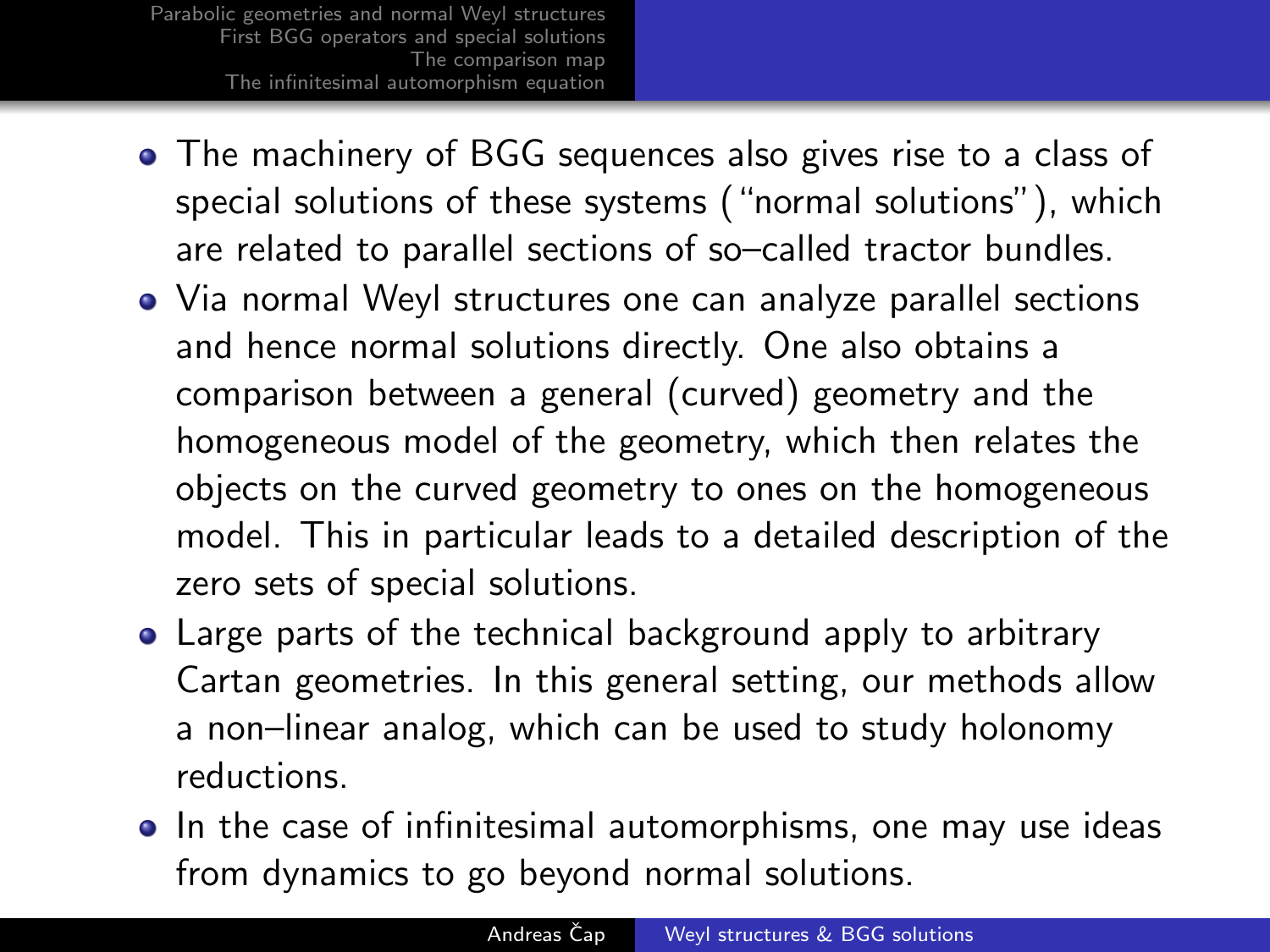- The machinery of BGG sequences also gives rise to a class of special solutions of these systems ("normal solutions"), which are related to parallel sections of so–called tractor bundles.
- Via normal Weyl structures one can analyze parallel sections and hence normal solutions directly. One also obtains a comparison between a general (curved) geometry and the homogeneous model of the geometry, which then relates the objects on the curved geometry to ones on the homogeneous model. This in particular leads to a detailed description of the zero sets of special solutions.
- Large parts of the technical background apply to arbitrary Cartan geometries. In this general setting, our methods allow a non–linear analog, which can be used to study holonomy reductions.
- In the case of infinitesimal automorphisms, one may use ideas from dynamics to go beyond normal solutions.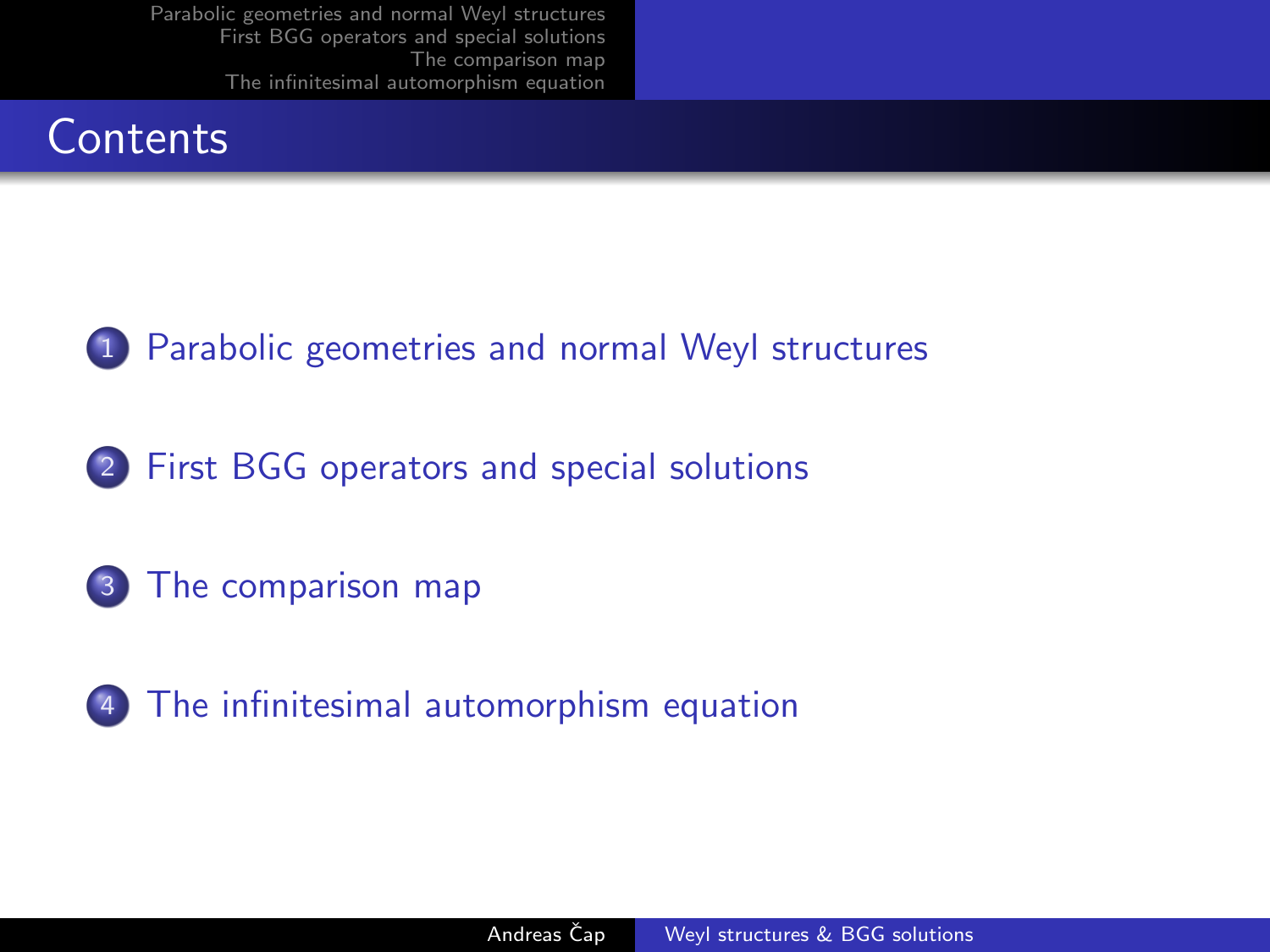## **Contents**



1 [Parabolic geometries and normal Weyl structures](#page-4-0)

2 [First BGG operators and special solutions](#page-8-0)

3 [The comparison map](#page-13-0)

4 [The infinitesimal automorphism equation](#page-16-0)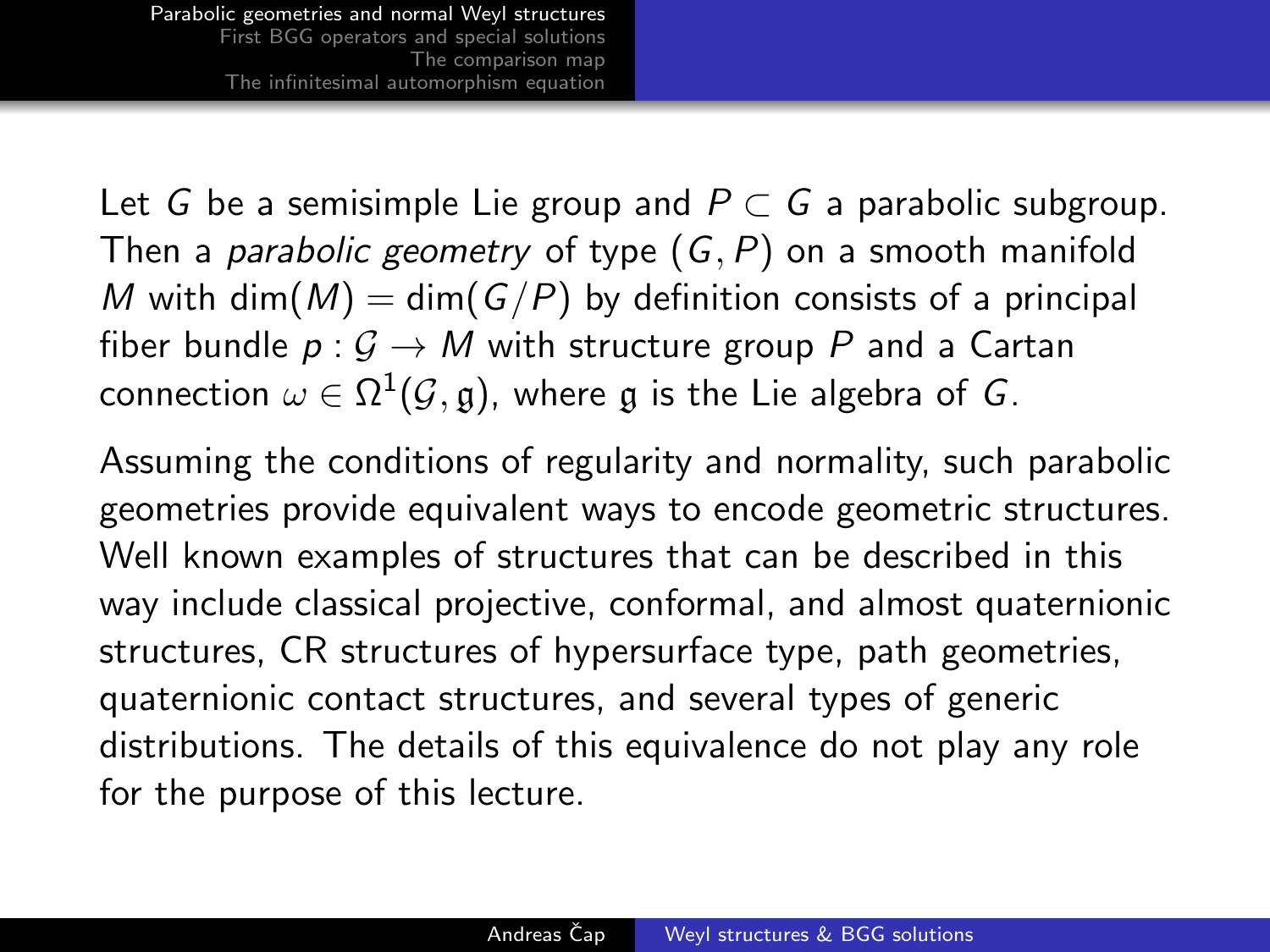Let G be a semisimple Lie group and  $P \subset G$  a parabolic subgroup. Then a *parabolic geometry* of type  $(G, P)$  on a smooth manifold M with dim(M) = dim(G/P) by definition consists of a principal fiber bundle  $p: \mathcal{G} \to M$  with structure group P and a Cartan connection  $\omega \in \Omega^1(\mathcal{G},\mathfrak{g})$ , where  $\mathfrak g$  is the Lie algebra of  $G.$ 

<span id="page-4-0"></span>Assuming the conditions of regularity and normality, such parabolic geometries provide equivalent ways to encode geometric structures. Well known examples of structures that can be described in this way include classical projective, conformal, and almost quaternionic structures, CR structures of hypersurface type, path geometries, quaternionic contact structures, and several types of generic distributions. The details of this equivalence do not play any role for the purpose of this lecture.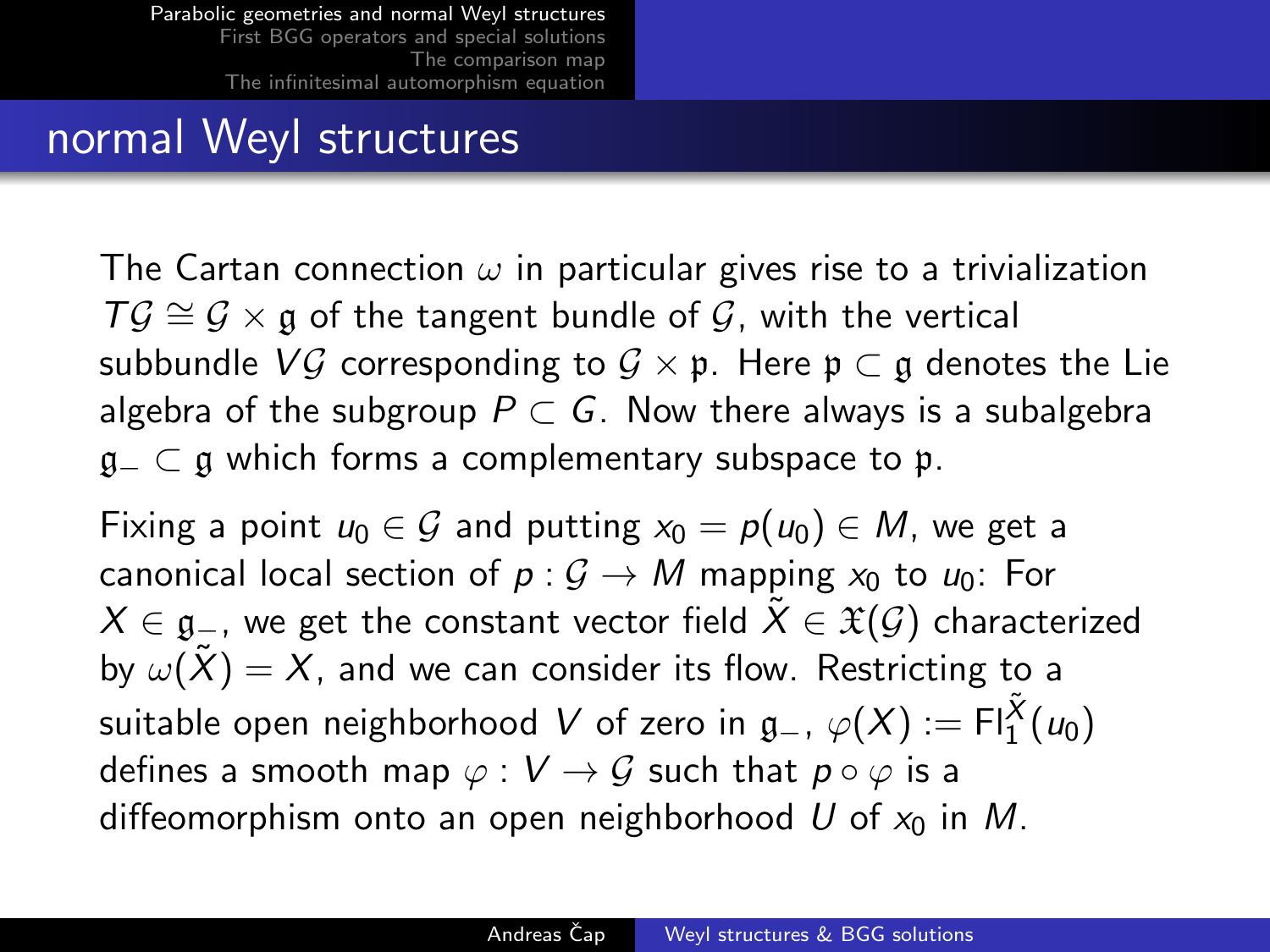## normal Weyl structures

The Cartan connection  $\omega$  in particular gives rise to a trivialization  $T\mathcal{G} \cong \mathcal{G} \times \mathfrak{g}$  of the tangent bundle of  $\mathcal{G}$ , with the vertical subbundle VG corresponding to  $G \times \mathfrak{p}$ . Here  $\mathfrak{p} \subset \mathfrak{g}$  denotes the Lie algebra of the subgroup  $P \subset G$ . Now there always is a subalgebra  $a_$  ⊂ a which forms a complementary subspace to p.

Fixing a point  $u_0 \in \mathcal{G}$  and putting  $x_0 = p(u_0) \in M$ , we get a canonical local section of  $p: G \to M$  mapping  $x_0$  to  $u_0$ : For  $X \in \mathfrak{g}_-$ , we get the constant vector field  $\tilde{X} \in \mathfrak{X}(\mathcal{G})$  characterized by  $\omega(\tilde{X}) = X$ , and we can consider its flow. Restricting to a suitable open neighborhood  $V$  of zero in  $\mathfrak{g}_-$ ,  $\varphi(X) := \mathsf{Fl}^{\tilde{X}}_1(\mathsf{u}_0)$ defines a smooth map  $\varphi : V \to G$  such that  $p \circ \varphi$  is a diffeomorphism onto an open neighborhood U of  $x_0$  in M.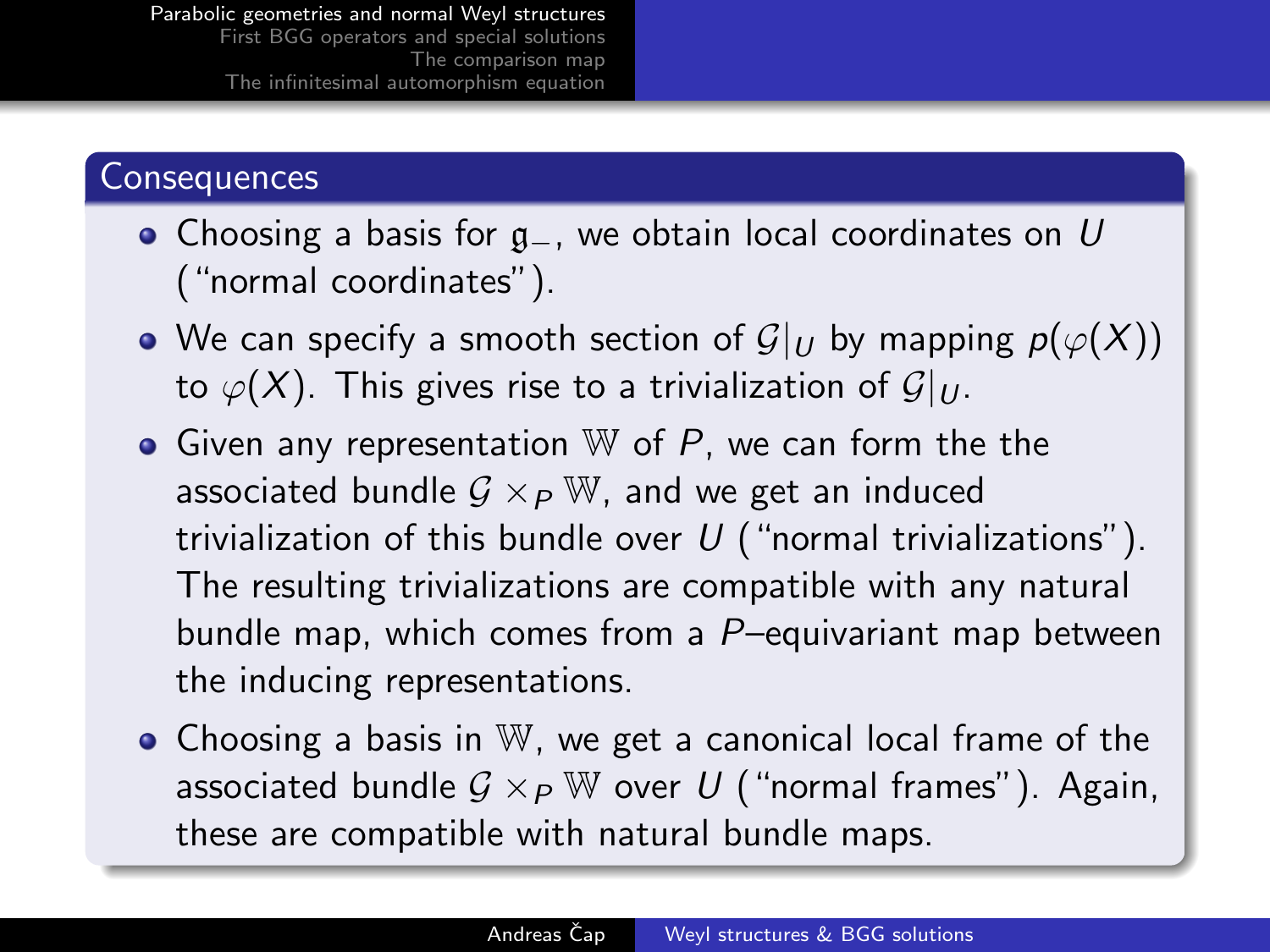#### **Consequences**

- Choosing a basis for g\_, we obtain local coordinates on U ("normal coordinates").
- We can specify a smooth section of  $\mathcal{G}|_U$  by mapping  $p(\varphi(X))$ to  $\varphi(X)$ . This gives rise to a trivialization of  $\mathcal{G}|_U$ .
- Given any representation  $W$  of  $P$ , we can form the the associated bundle  $G \times_{P} \mathbb{W}$ , and we get an induced trivialization of this bundle over  $U$  ("normal trivializations"). The resulting trivializations are compatible with any natural bundle map, which comes from a P–equivariant map between the inducing representations.
- Choosing a basis in W, we get a canonical local frame of the associated bundle  $G \times_{P} \mathbb{W}$  over U ("normal frames"). Again, these are compatible with natural bundle maps.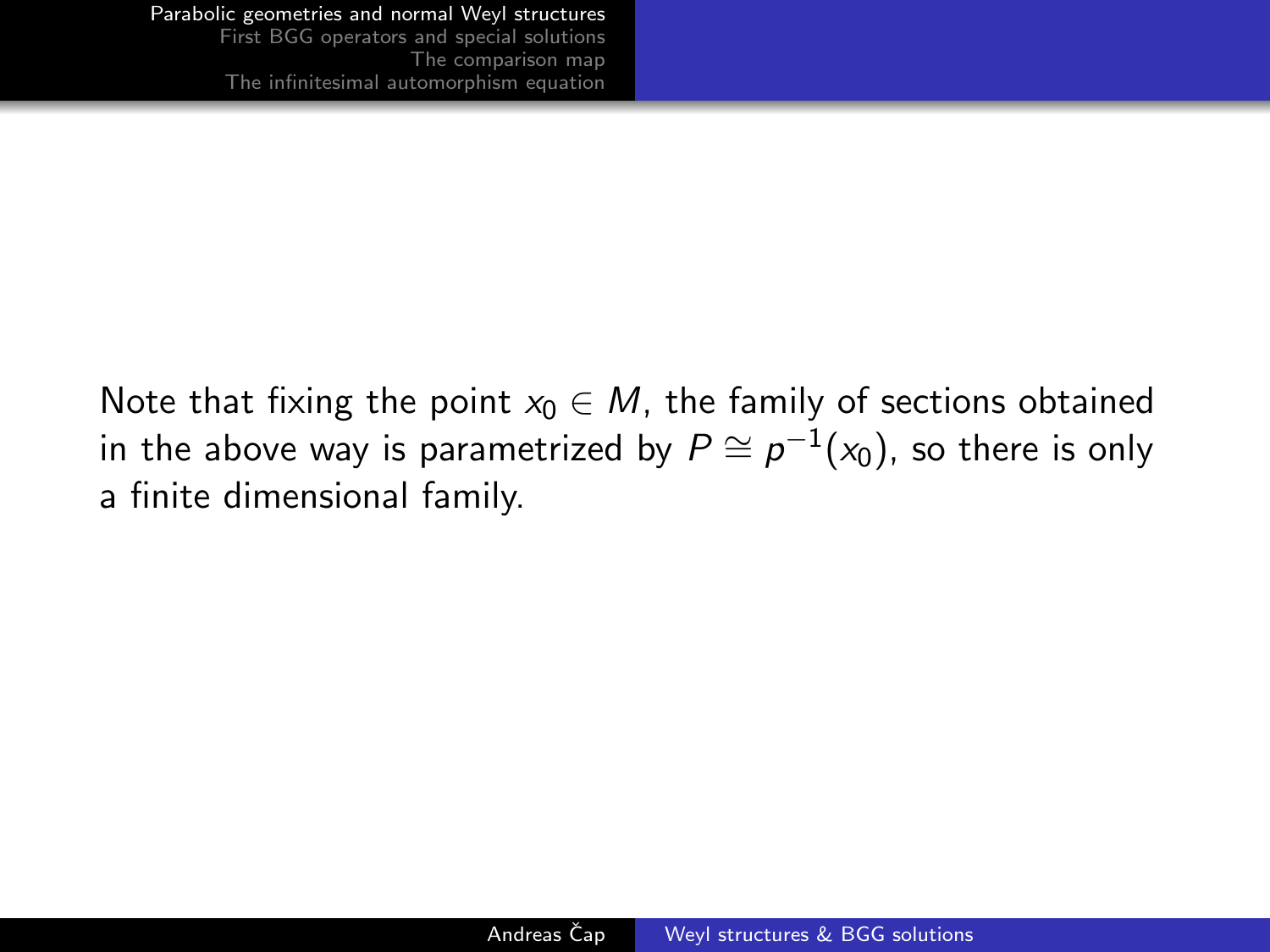Note that fixing the point  $x_0 \in M$ , the family of sections obtained in the above way is parametrized by  $P\cong \rho^{-1}(\mathsf{x}_0)$ , so there is only a finite dimensional family.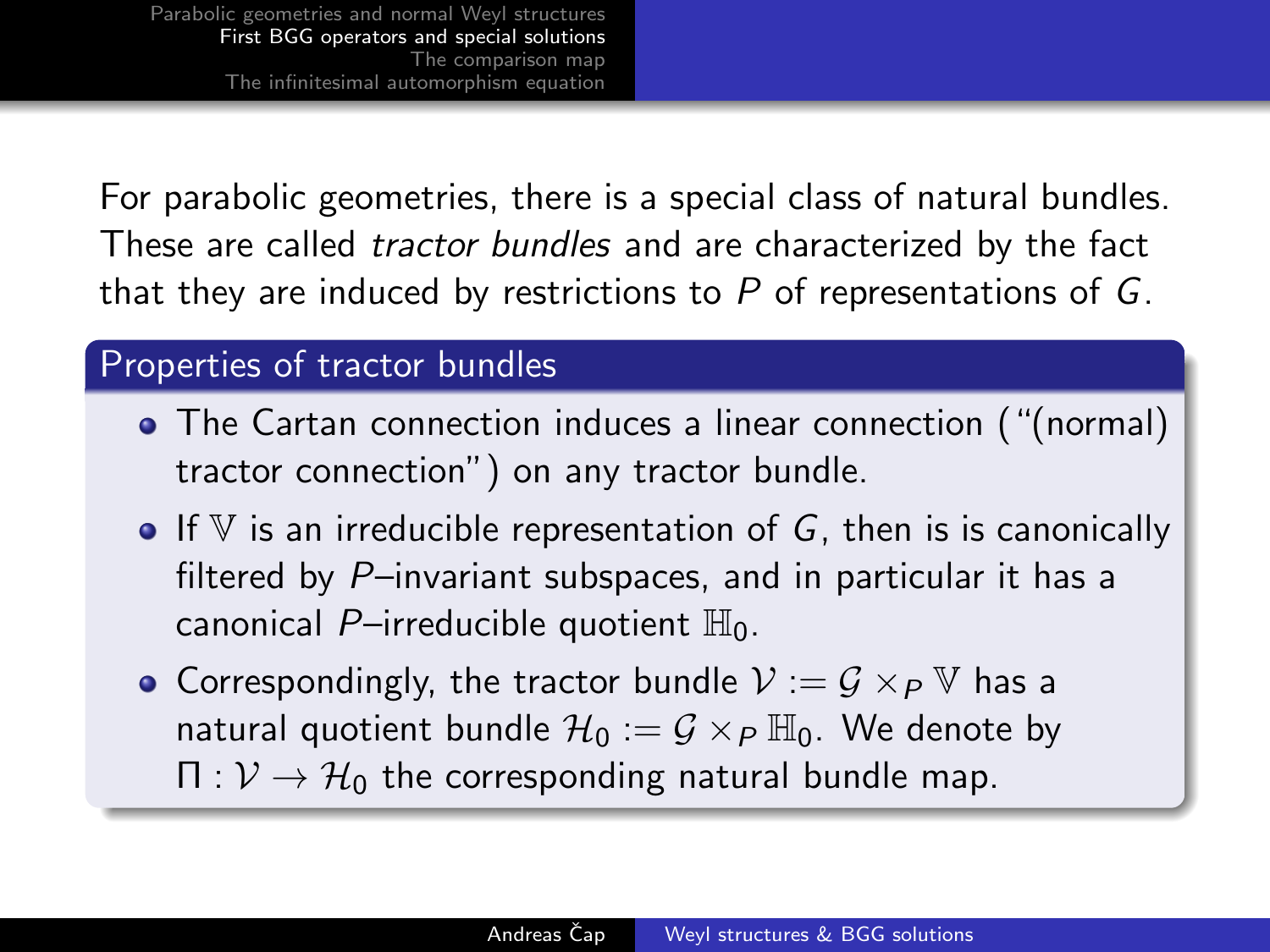For parabolic geometries, there is a special class of natural bundles. These are called tractor bundles and are characterized by the fact that they are induced by restrictions to  $P$  of representations of  $G$ .

#### Properties of tractor bundles

- The Cartan connection induces a linear connection ("(normal) tractor connection") on any tractor bundle.
- $\bullet$  If V is an irreducible representation of G, then is is canonically filtered by P–invariant subspaces, and in particular it has a canonical P-irreducible quotient  $\mathbb{H}_0$ .
- <span id="page-8-0"></span>• Correspondingly, the tractor bundle  $V := G \times_{P} V$  has a natural quotient bundle  $\mathcal{H}_0 := \mathcal{G} \times_{\mathcal{P}} \mathbb{H}_0$ . We denote by  $\Pi: \mathcal{V} \to \mathcal{H}_0$  the corresponding natural bundle map.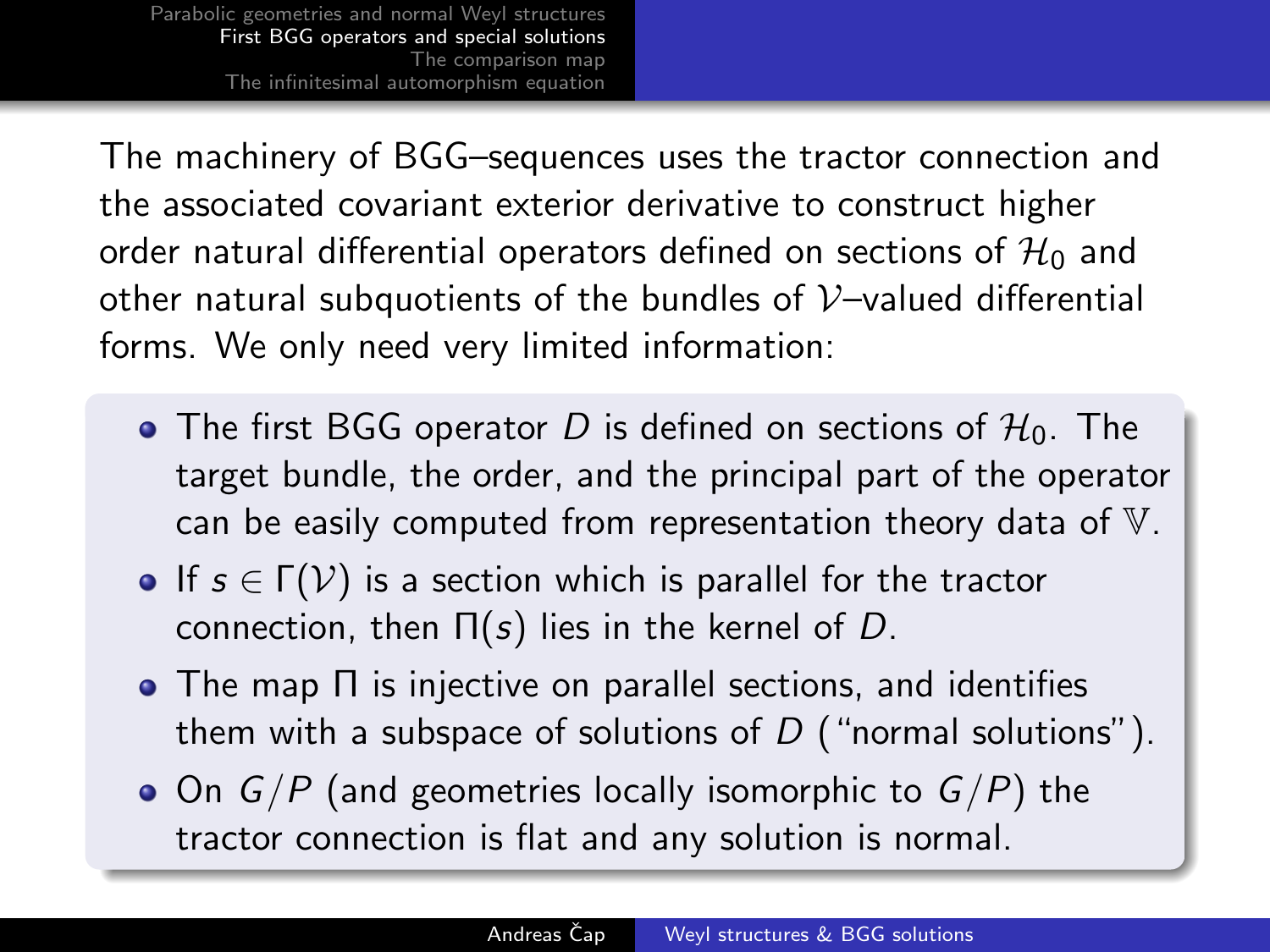The machinery of BGG–sequences uses the tractor connection and the associated covariant exterior derivative to construct higher order natural differential operators defined on sections of  $\mathcal{H}_0$  and other natural subquotients of the bundles of  $V$ -valued differential forms. We only need very limited information:

- The first BGG operator D is defined on sections of  $H_0$ . The target bundle, the order, and the principal part of the operator can be easily computed from representation theory data of V.
- If  $s \in \Gamma(\mathcal{V})$  is a section which is parallel for the tractor connection, then  $\Pi(s)$  lies in the kernel of D.
- The map Π is injective on parallel sections, and identifies them with a subspace of solutions of  $D$  ("normal solutions").
- $\bullet$  On  $G/P$  (and geometries locally isomorphic to  $G/P$ ) the tractor connection is flat and any solution is normal.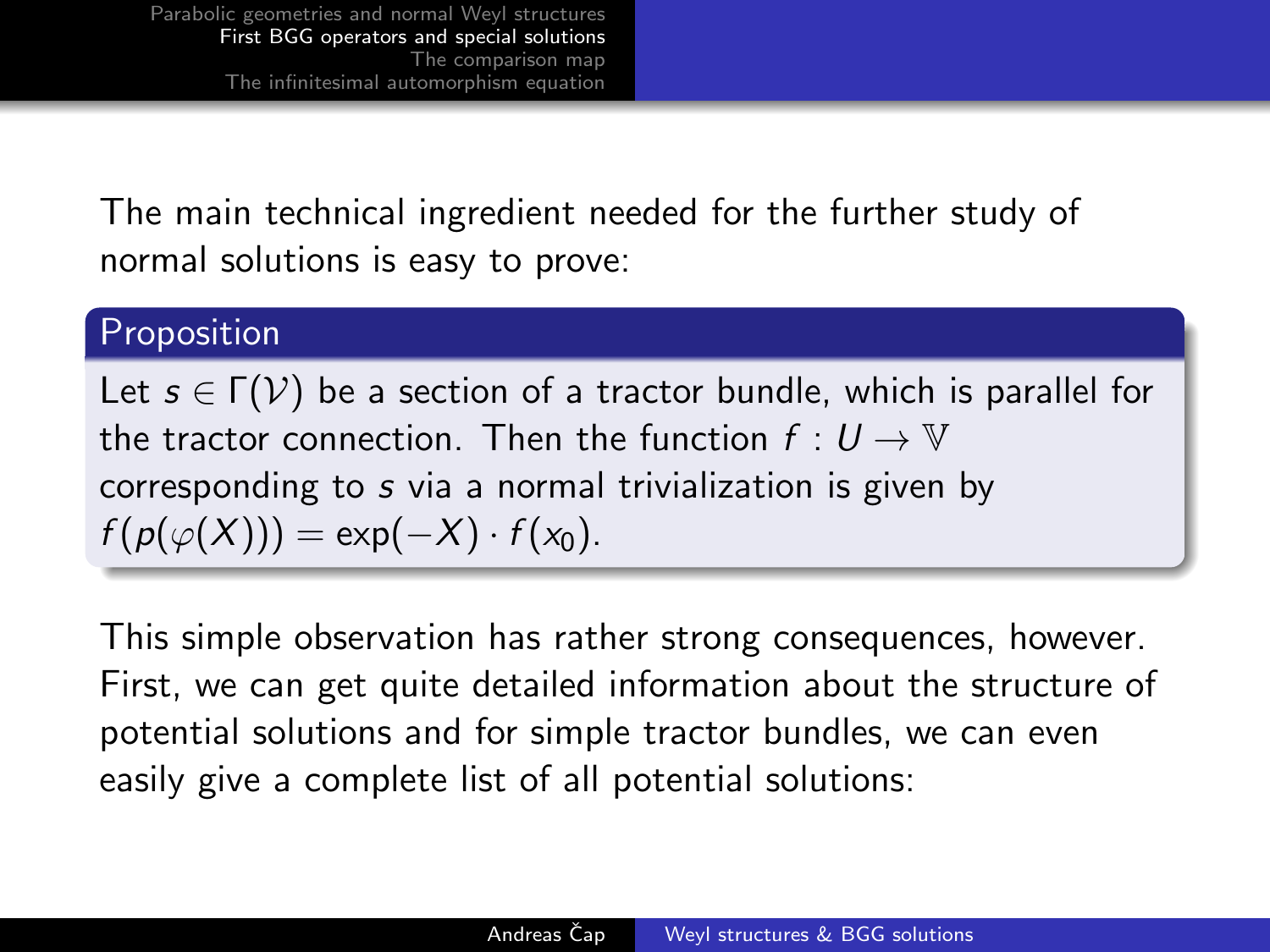The main technical ingredient needed for the further study of normal solutions is easy to prove:

#### Proposition

Let  $s \in \Gamma(\mathcal{V})$  be a section of a tractor bundle, which is parallel for the tractor connection. Then the function  $f: U \to V$ corresponding to s via a normal trivialization is given by  $f(p(\varphi(X))) = \exp(-X) \cdot f(x_0).$ 

This simple observation has rather strong consequences, however. First, we can get quite detailed information about the structure of potential solutions and for simple tractor bundles, we can even easily give a complete list of all potential solutions: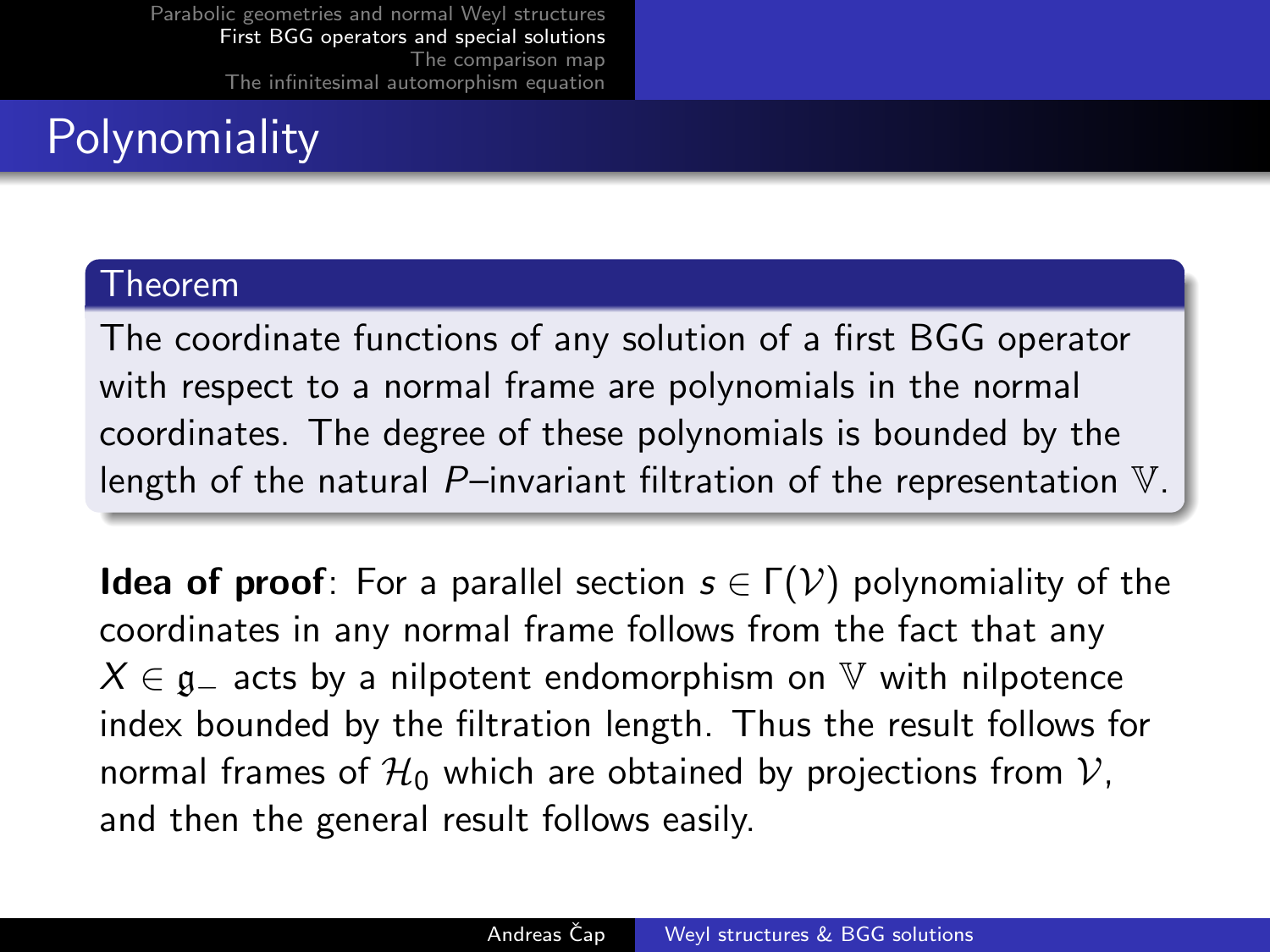# **Polynomiality**

#### Theorem

The coordinate functions of any solution of a first BGG operator with respect to a normal frame are polynomials in the normal coordinates. The degree of these polynomials is bounded by the length of the natural  $P$ –invariant filtration of the representation  $V$ .

**Idea of proof**: For a parallel section  $s \in \Gamma(\mathcal{V})$  polynomiality of the coordinates in any normal frame follows from the fact that any  $X \in \mathfrak{g}_-$  acts by a nilpotent endomorphism on  $\mathbb {V}$  with nilpotence index bounded by the filtration length. Thus the result follows for normal frames of  $\mathcal{H}_0$  which are obtained by projections from  $\mathcal{V}$ , and then the general result follows easily.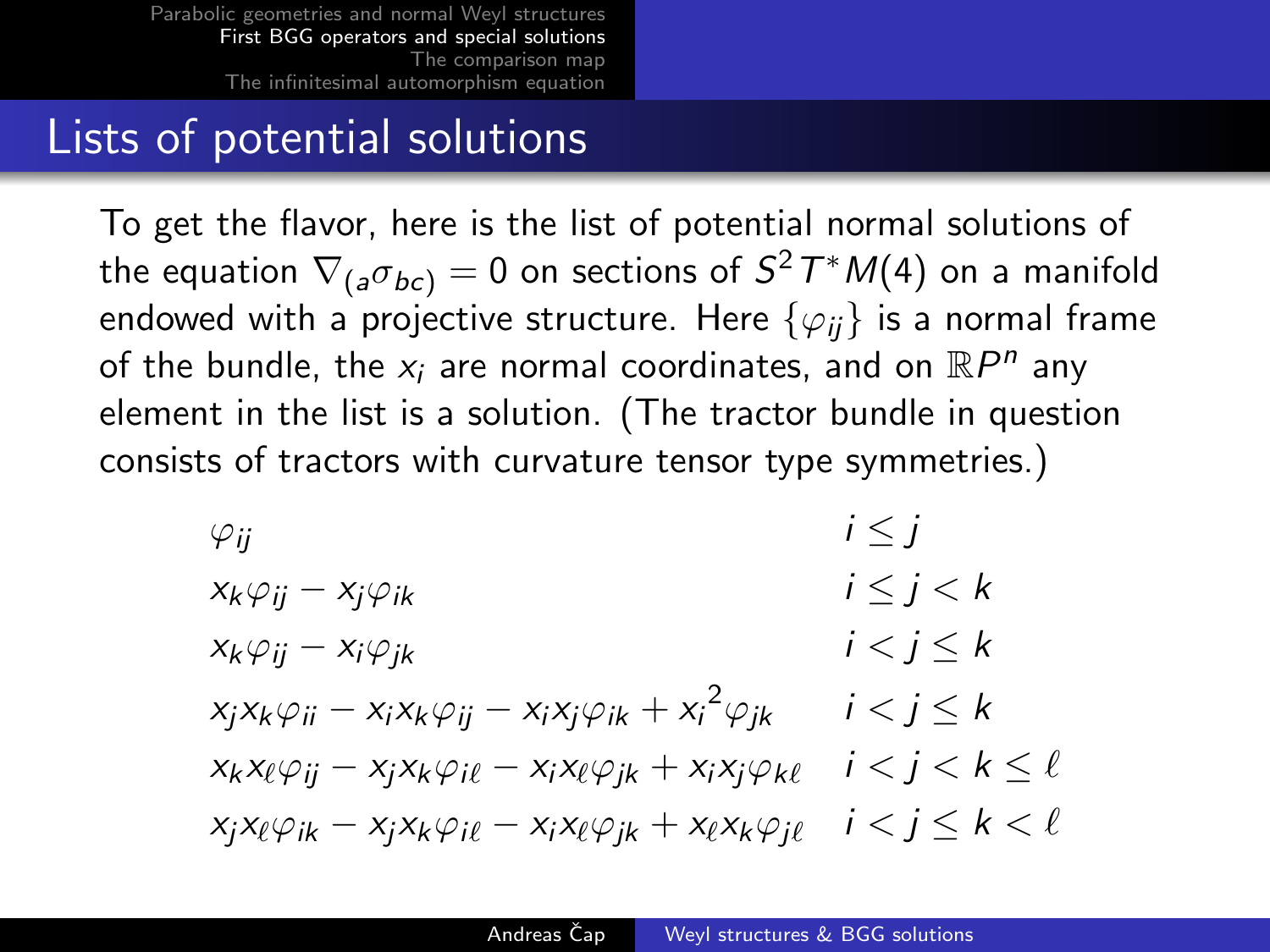## Lists of potential solutions

To get the flavor, here is the list of potential normal solutions of the equation  $\nabla_{(a}\sigma_{bc)}=0$  on sections of  $S^2\,T^*M(4)$  on a manifold endowed with a projective structure. Here  $\{\varphi_{ii}\}\$ is a normal frame of the bundle, the  $x_i$  are normal coordinates, and on  $\mathbb{R}P^n$  any element in the list is a solution. (The tractor bundle in question consists of tractors with curvature tensor type symmetries.)

$$
\varphi_{ij} \qquad i \leq j
$$
\n
$$
x_k \varphi_{ij} - x_j \varphi_{ik} \qquad i \leq j < k
$$
\n
$$
x_k \varphi_{ij} - x_i \varphi_{jk} \qquad i < j \leq k
$$
\n
$$
x_j x_k \varphi_{ii} - x_i x_k \varphi_{ij} - x_i x_j \varphi_{ik} + x_i^2 \varphi_{jk} \qquad i < j \leq k
$$
\n
$$
x_k x_\ell \varphi_{ij} - x_j x_k \varphi_{il} - x_i x_\ell \varphi_{jk} + x_i x_j \varphi_{k \ell} \qquad i < j < k \leq \ell
$$
\n
$$
x_j x_\ell \varphi_{ik} - x_j x_k \varphi_{il} - x_i x_\ell \varphi_{jk} + x_\ell x_k \varphi_{jl} \qquad i < j \leq k < \ell
$$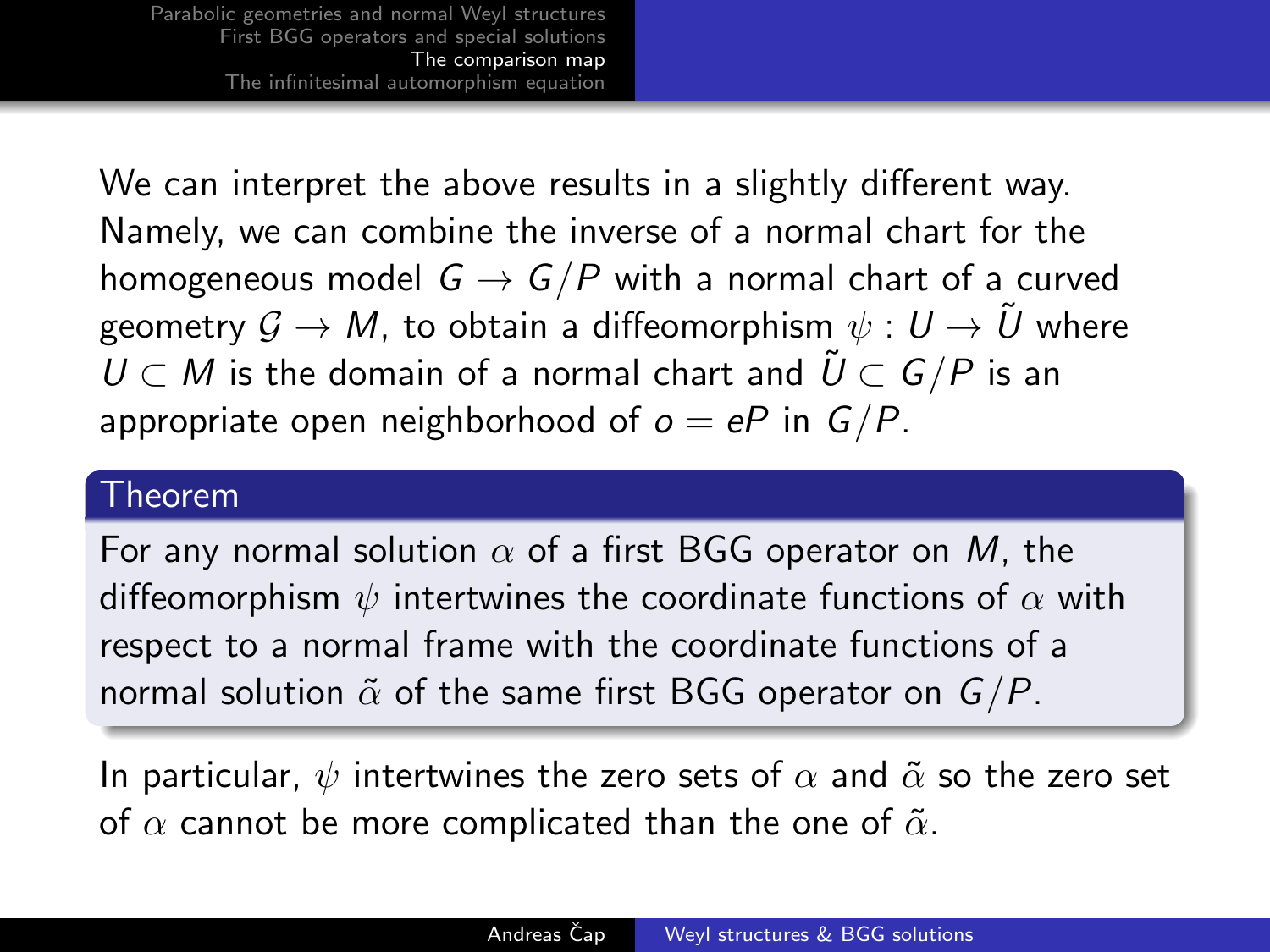We can interpret the above results in a slightly different way. Namely, we can combine the inverse of a normal chart for the homogeneous model  $G \rightarrow G/P$  with a normal chart of a curved geometry  $\mathcal{G} \to M$ , to obtain a diffeomorphism  $\psi : U \to \tilde{U}$  where  $U \subset M$  is the domain of a normal chart and  $\tilde{U} \subset G/P$  is an appropriate open neighborhood of  $o = eP$  in  $G/P$ .

#### Theorem

For any normal solution  $\alpha$  of a first BGG operator on M, the diffeomorphism  $\psi$  intertwines the coordinate functions of  $\alpha$  with respect to a normal frame with the coordinate functions of a normal solution  $\tilde{\alpha}$  of the same first BGG operator on  $G/P$ .

<span id="page-13-0"></span>In particular,  $\psi$  intertwines the zero sets of  $\alpha$  and  $\tilde{\alpha}$  so the zero set of  $\alpha$  cannot be more complicated than the one of  $\tilde{\alpha}$ .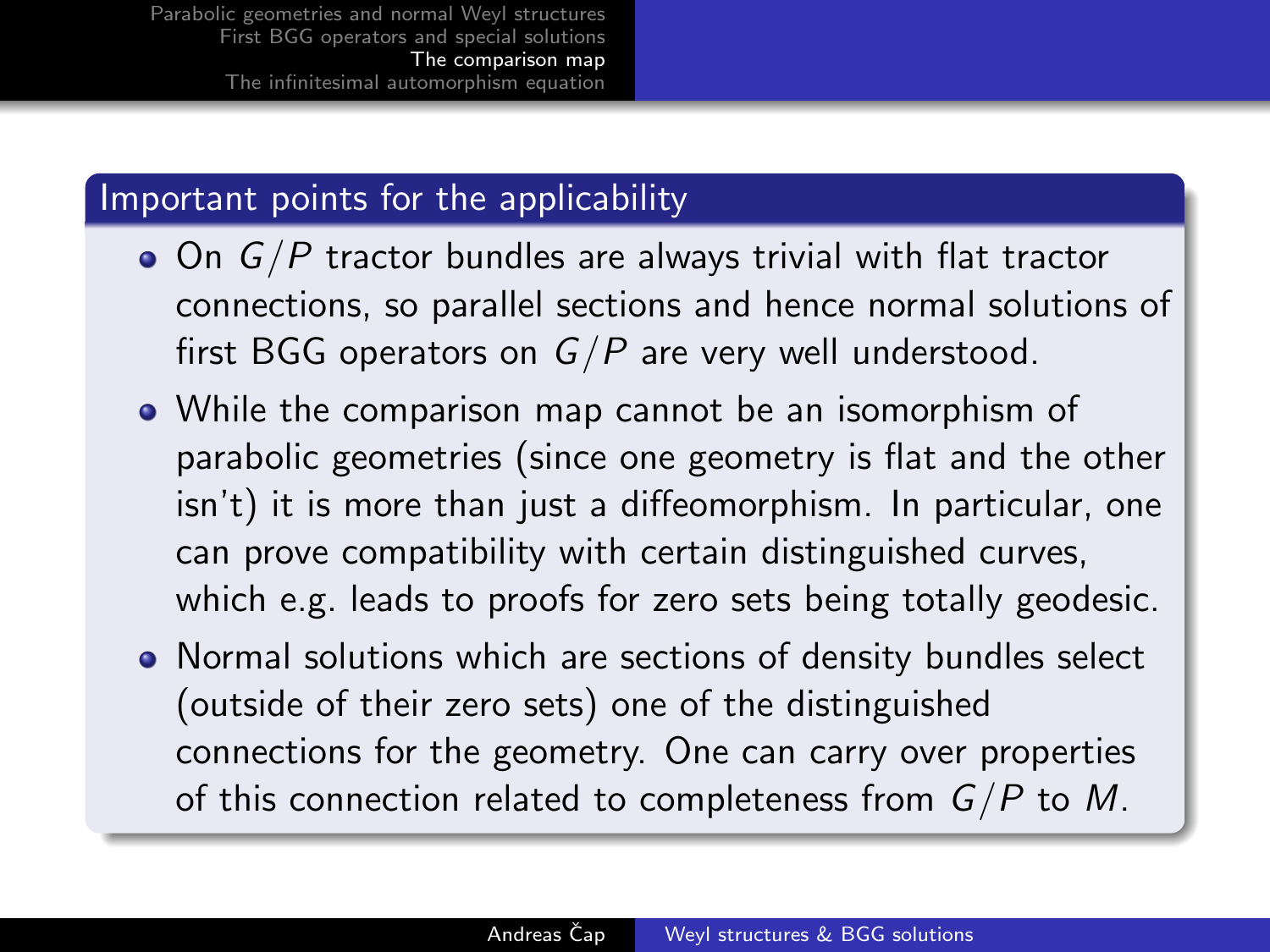#### Important points for the applicability

- $\bullet$  On  $G/P$  tractor bundles are always trivial with flat tractor connections, so parallel sections and hence normal solutions of first BGG operators on  $G/P$  are very well understood.
- While the comparison map cannot be an isomorphism of parabolic geometries (since one geometry is flat and the other isn't) it is more than just a diffeomorphism. In particular, one can prove compatibility with certain distinguished curves, which e.g. leads to proofs for zero sets being totally geodesic.
- Normal solutions which are sections of density bundles select (outside of their zero sets) one of the distinguished connections for the geometry. One can carry over properties of this connection related to completeness from  $G/P$  to M.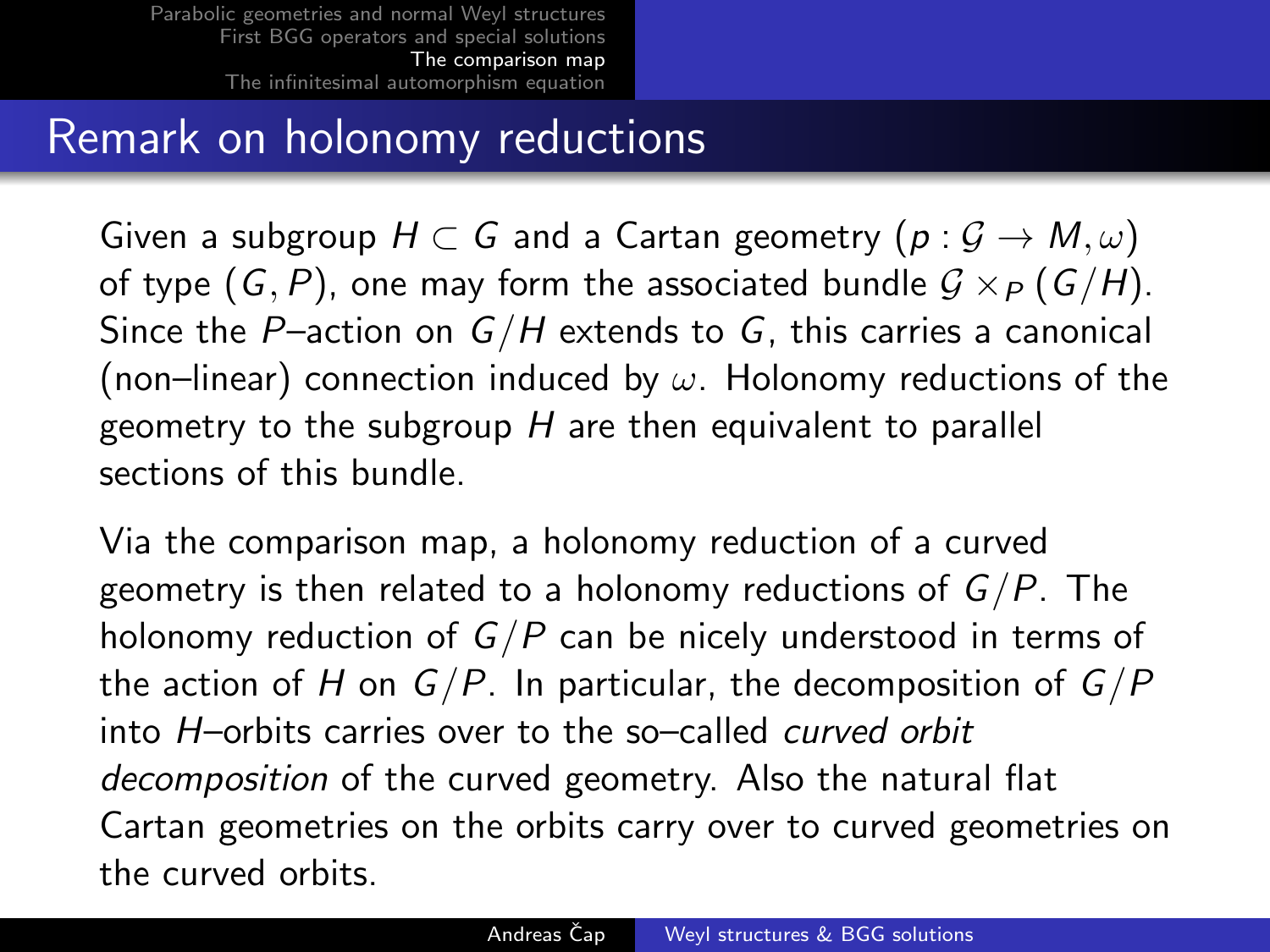# Remark on holonomy reductions

Given a subgroup  $H \subset G$  and a Cartan geometry  $(p: \mathcal{G} \to M, \omega)$ of type  $(G, P)$ , one may form the associated bundle  $G \times_{P} (G/H)$ . Since the P-action on  $G/H$  extends to G, this carries a canonical (non–linear) connection induced by  $\omega$ . Holonomy reductions of the geometry to the subgroup  $H$  are then equivalent to parallel sections of this bundle.

Via the comparison map, a holonomy reduction of a curved geometry is then related to a holonomy reductions of  $G/P$ . The holonomy reduction of  $G/P$  can be nicely understood in terms of the action of H on  $G/P$ . In particular, the decomposition of  $G/P$ into H–orbits carries over to the so–called curved orbit decomposition of the curved geometry. Also the natural flat Cartan geometries on the orbits carry over to curved geometries on the curved orbits.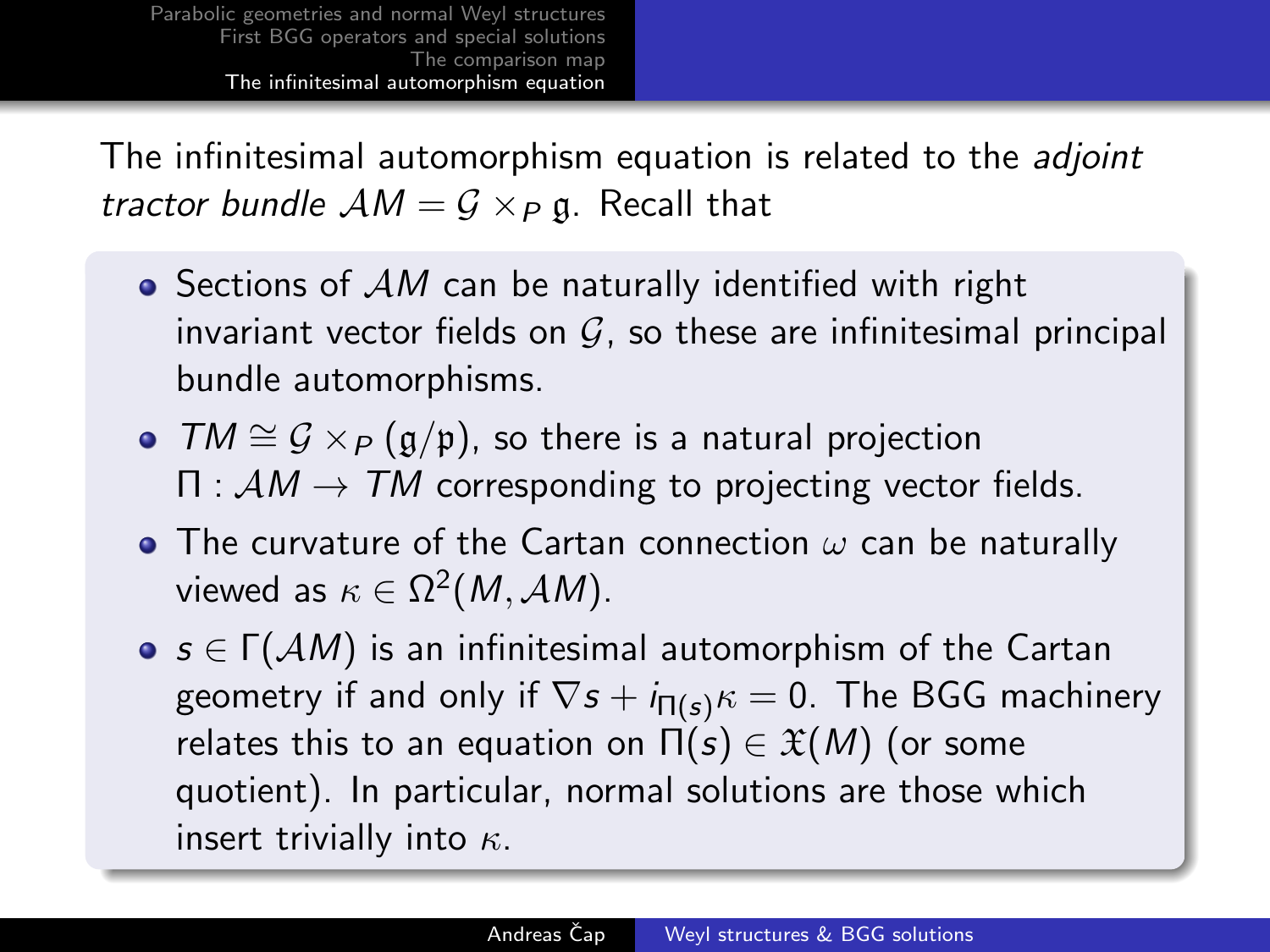The infinitesimal automorphism equation is related to the *adjoint* tractor bundle  $AM = G \times_P \mathfrak{g}$ . Recall that

- $\bullet$  Sections of  $AM$  can be naturally identified with right invariant vector fields on  $G$ , so these are infinitesimal principal bundle automorphisms.
- $TM \cong \mathcal{G} \times_{\mathcal{P}} (\mathfrak{g}/\mathfrak{p})$ , so there is a natural projection  $\Pi : AM \rightarrow TM$  corresponding to projecting vector fields.
- The curvature of the Cartan connection  $\omega$  can be naturally viewed as  $\kappa \in \Omega^2(M,\mathcal{AM})$ .
- <span id="page-16-0"></span> $\bullet$  s  $\in \Gamma(\mathcal AM)$  is an infinitesimal automorphism of the Cartan geometry if and only if  $\nabla s + i_{\Pi(s)}\kappa = 0$ . The BGG machinery relates this to an equation on  $\Pi(s) \in \mathfrak{X}(M)$  (or some quotient). In particular, normal solutions are those which insert trivially into  $\kappa$ .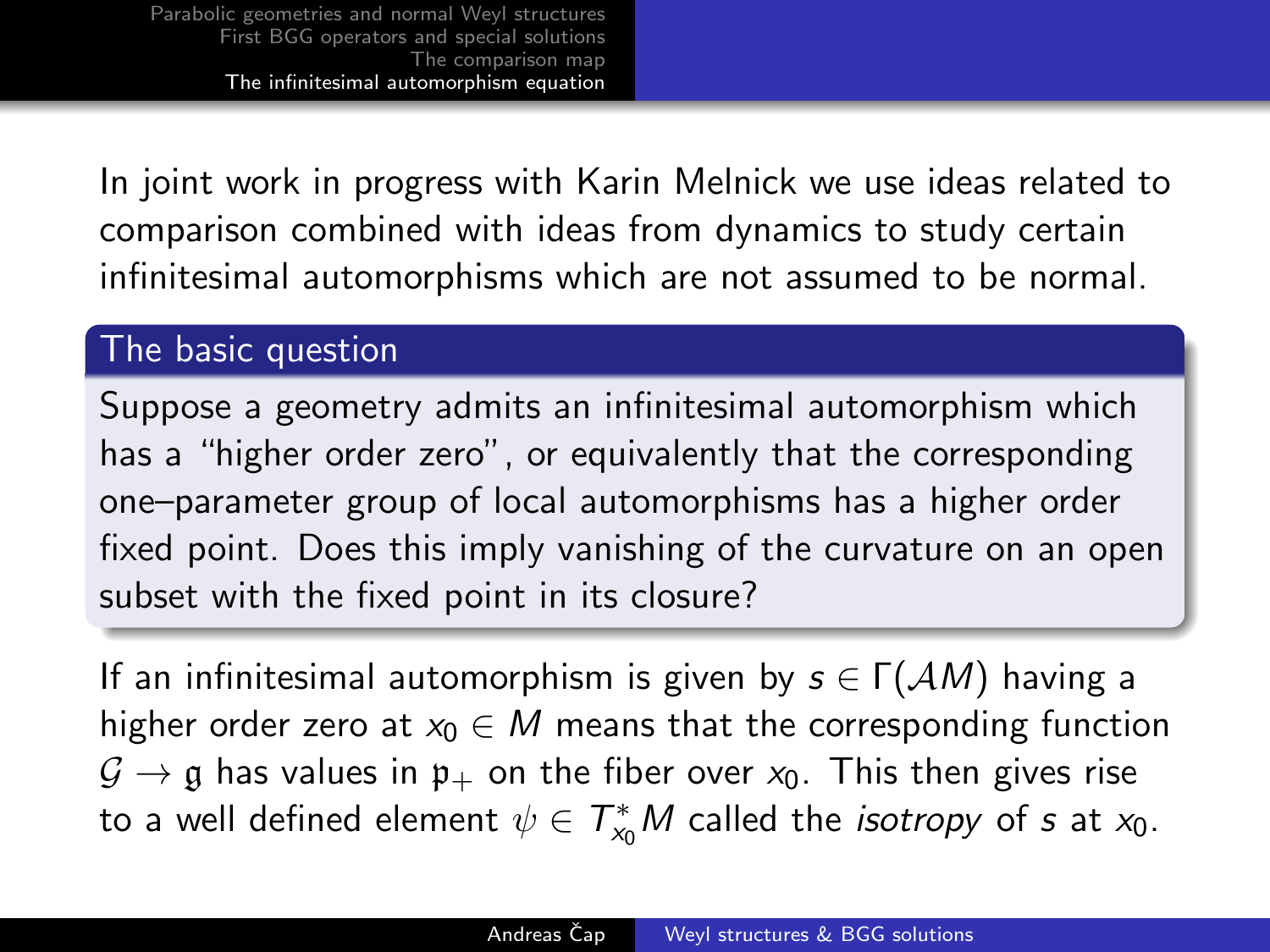In joint work in progress with Karin Melnick we use ideas related to comparison combined with ideas from dynamics to study certain infinitesimal automorphisms which are not assumed to be normal.

#### The basic question

Suppose a geometry admits an infinitesimal automorphism which has a "higher order zero", or equivalently that the corresponding one–parameter group of local automorphisms has a higher order fixed point. Does this imply vanishing of the curvature on an open subset with the fixed point in its closure?

If an infinitesimal automorphism is given by  $s \in \Gamma(\mathcal{A}M)$  having a higher order zero at  $x_0 \in M$  means that the corresponding function  $\mathcal{G} \rightarrow \mathfrak{g}$  has values in  $\mathfrak{p}_+$  on the fiber over  $x_0$ . This then gives rise to a well defined element  $\psi \in \mathcal{T}_{\mathsf{x}_0}^*M$  called the *isotropy* of  $s$  at  $\mathsf{x}_0.$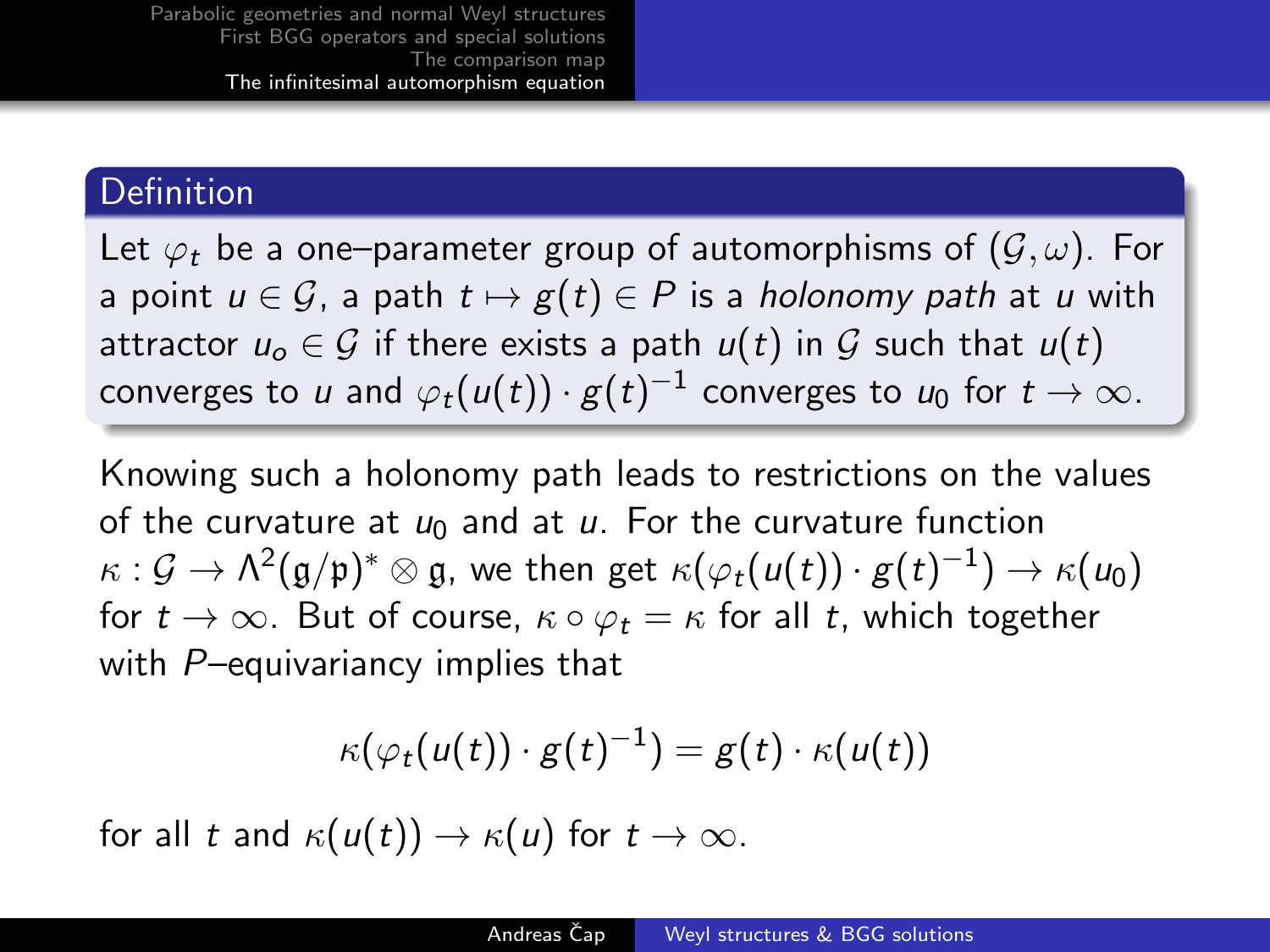#### Definition

Let  $\varphi_t$  be a one–parameter group of automorphisms of  $(\mathcal{G}, \omega)$ . For a point  $u \in \mathcal{G}$ , a path  $t \mapsto g(t) \in P$  is a holonomy path at u with attractor  $u_0 \in \mathcal{G}$  if there exists a path  $u(t)$  in  $\mathcal{G}$  such that  $u(t)$ converges to  $\iota\iota$  and  $\varphi_t(u(t))\cdot g(t)^{-1}$  converges to  $\iota\iota_0$  for  $t\to\infty.$ 

Knowing such a holonomy path leads to restrictions on the values of the curvature at  $u_0$  and at u. For the curvature function  $\kappa: \mathcal{G} \to \Lambda^2(\mathfrak{g}/\mathfrak{p})^* \otimes \mathfrak{g},$  we then get  $\kappa(\varphi_t(u(t)) \cdot g(t)^{-1}) \to \kappa(u_0)$ for  $t \to \infty$ . But of course,  $\kappa \circ \varphi_t = \kappa$  for all t, which together with P-equivariancy implies that

$$
\kappa(\varphi_t(u(t))\cdot g(t)^{-1})=g(t)\cdot\kappa(u(t))
$$

for all t and  $\kappa(u(t)) \to \kappa(u)$  for  $t \to \infty$ .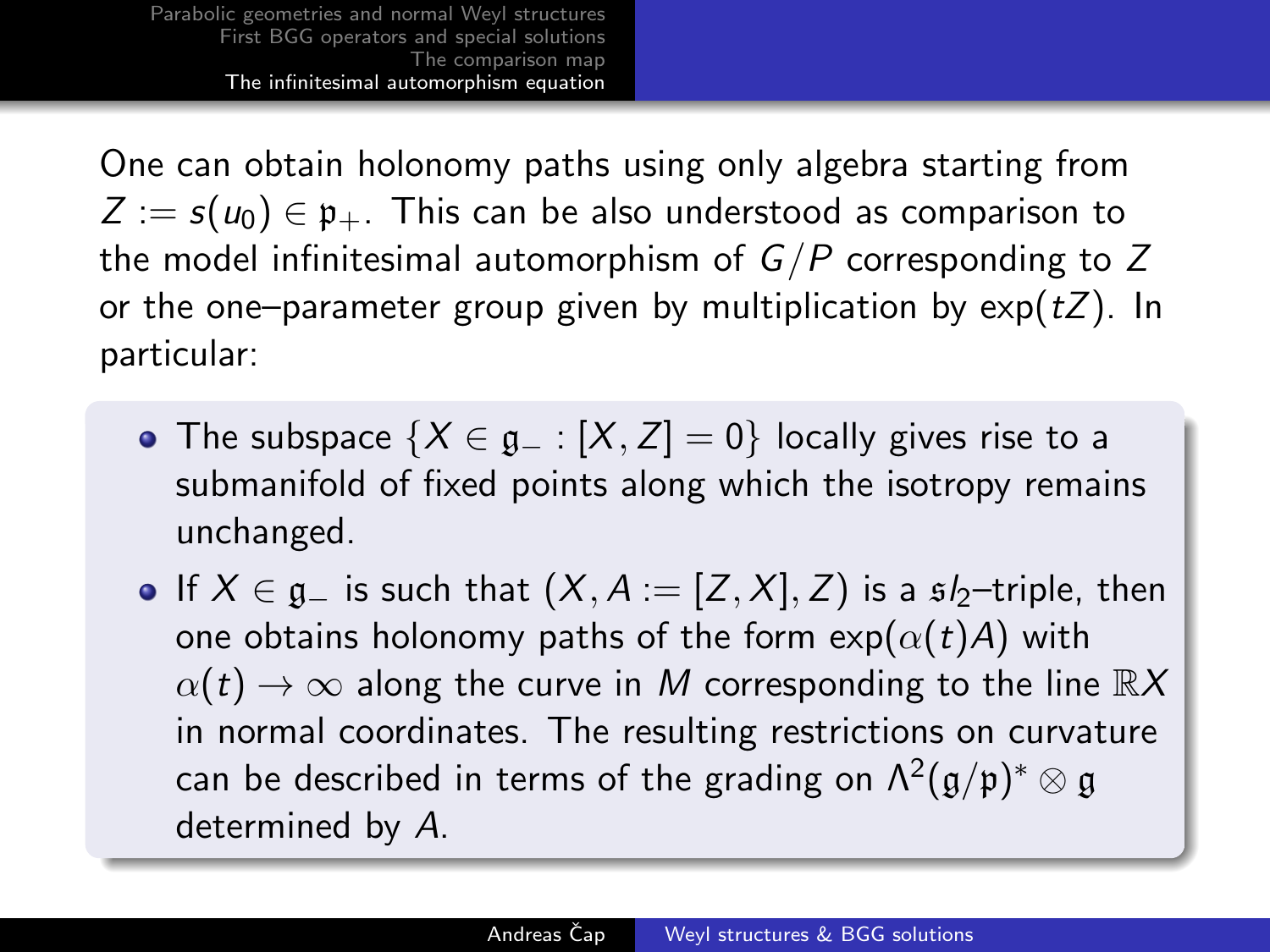One can obtain holonomy paths using only algebra starting from  $Z := s(u_0) \in \mathfrak{p}_+$ . This can be also understood as comparison to the model infinitesimal automorphism of  $G/P$  corresponding to Z or the one–parameter group given by multiplication by  $exp(tZ)$ . In particular:

- The subspace  $\{X \in \mathfrak{g}_- : [X, Z] = 0\}$  locally gives rise to a submanifold of fixed points along which the isotropy remains unchanged.
- If  $X \in \mathfrak{g}_-$  is such that  $(X, A) = [Z, X], Z$  is a  $\mathfrak{sl}_2$ -triple, then one obtains holonomy paths of the form  $\exp(\alpha(t)A)$  with  $\alpha(t) \to \infty$  along the curve in M corresponding to the line  $\mathbb{R}X$ in normal coordinates. The resulting restrictions on curvature can be described in terms of the grading on  $\mathsf{\Lambda}^2(\mathfrak{g}/\mathfrak{p})^*\otimes \mathfrak{g}$ determined by A.